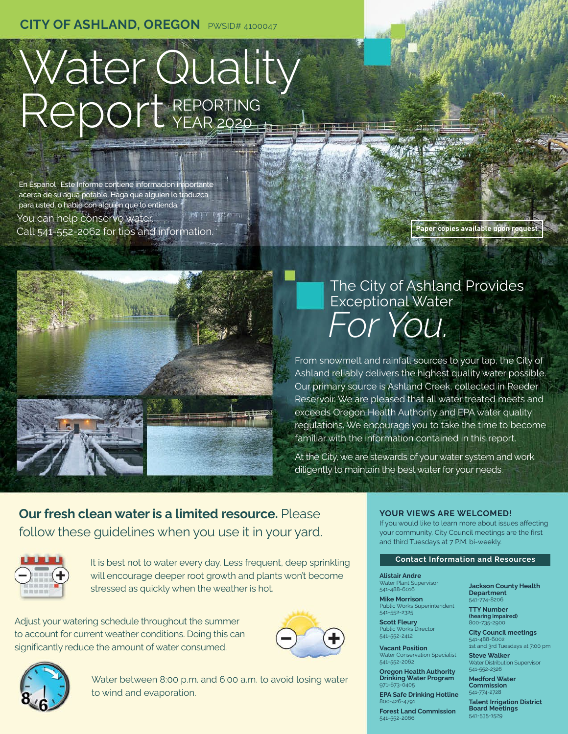# Water Quality Report REPORTING

En Español : Este Informe contiene informacion importante acerca de su agua potable. Haga que alguien lo traduzca para usted, o hable con alguien que lo entienda. You can help conserve water. Call 541-552-2062 for tips and information. **Paper copies available upon request**





# The City of Ashland Provides Exceptional Water *For You.*

From snowmelt and rainfall sources to your tap, the City of Ashland reliably delivers the highest quality water possible. Our primary source is Ashland Creek, collected in Reeder Reservoir. We are pleased that all water treated meets and exceeds Oregon Health Authority and EPA water quality regulations. We encourage you to take the time to become familiar with the information contained in this report.

At the City, we are stewards of your water system and work diligently to maintain the best water for your needs.

**Our fresh clean water is a limited resource.** Please follow these guidelines when you use it in your yard.



It is best not to water every day. Less frequent, deep sprinkling will encourage deeper root growth and plants won't become stressed as quickly when the weather is hot.

Adjust your watering schedule throughout the summer to account for current weather conditions. Doing this can significantly reduce the amount of water consumed.





Water between 8:00 p.m. and 6:00 a.m. to avoid losing water to wind and evaporation.

# **YOUR VIEWS ARE WELCOMED!**

If you would like to learn more about issues affecting your community, City Council meetings are the first and third Tuesdays at 7 P.M. bi-weekly.

# **Contact Information and Resources**

**Alistair Andre**

541-552-2325 **Scott Fleury** Public Works Director 541-552-2412 **Vacant Position** Water Conservation Specialist

541-552-2062

971-673-0405

800-426-4791

541-552-2066

Water Plant Supervisor 541-488-6016 **Mike Morrison** Public Works Superintendent

**Oregon Health Authority Drinking Water Program**

**EPA Safe Drinking Hotline**

**Forest Land Commission**

**Jackson County Health Department** 541-774-8206

**TTY Number (hearing impaired)** 800-735-2900

**City Council meetings** 541-488-6002 1st and 3rd Tuesdays at 7:00 pm

**Steve Walker** ion Superviso 541-552-2326

**Medford Water Commission**  541-774-2728

**Talent Irrigation District Board Meetings** 541-535-1529